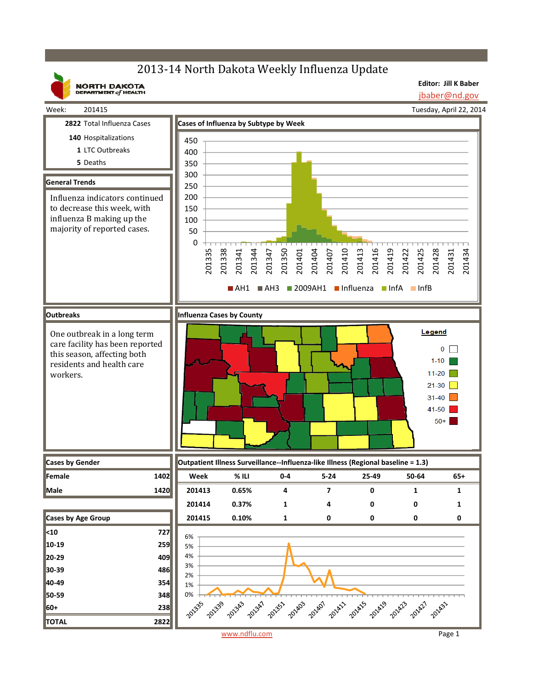# 2013-14 North Dakota Weekly Influenza Update

**NORTH DAKOTA**<br>DEPARTMENT of HEALTH

**Editor: Jill K Baber** jbaber@nd.gov